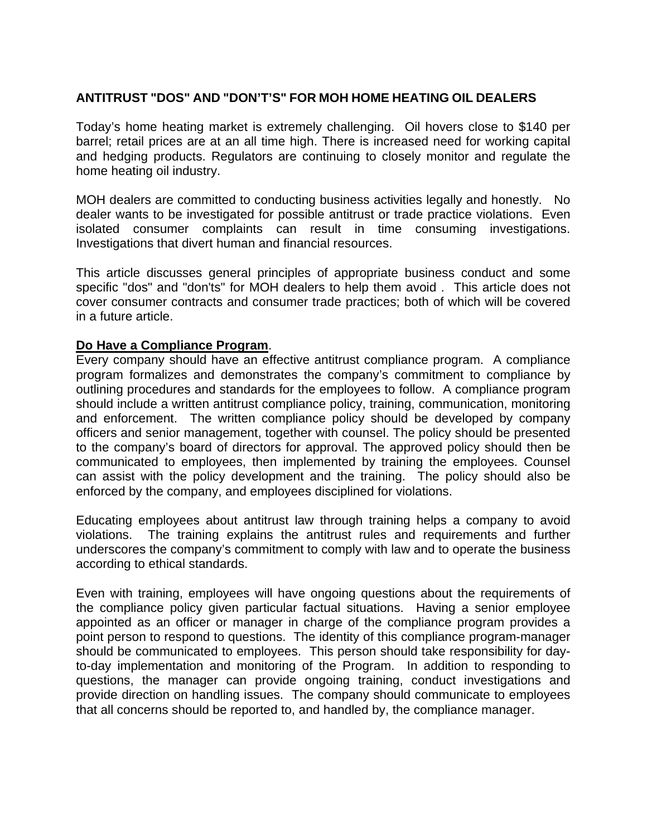# **ANTITRUST "DOS" AND "DON'T'S" FOR MOH HOME HEATING OIL DEALERS**

Today's home heating market is extremely challenging. Oil hovers close to \$140 per barrel; retail prices are at an all time high. There is increased need for working capital and hedging products. Regulators are continuing to closely monitor and regulate the home heating oil industry.

MOH dealers are committed to conducting business activities legally and honestly. No dealer wants to be investigated for possible antitrust or trade practice violations. Even isolated consumer complaints can result in time consuming investigations. Investigations that divert human and financial resources.

This article discusses general principles of appropriate business conduct and some specific "dos" and "don'ts" for MOH dealers to help them avoid . This article does not cover consumer contracts and consumer trade practices; both of which will be covered in a future article.

#### **Do Have a Compliance Program**.

Every company should have an effective antitrust compliance program. A compliance program formalizes and demonstrates the company's commitment to compliance by outlining procedures and standards for the employees to follow. A compliance program should include a written antitrust compliance policy, training, communication, monitoring and enforcement. The written compliance policy should be developed by company officers and senior management, together with counsel. The policy should be presented to the company's board of directors for approval. The approved policy should then be communicated to employees, then implemented by training the employees. Counsel can assist with the policy development and the training. The policy should also be enforced by the company, and employees disciplined for violations.

Educating employees about antitrust law through training helps a company to avoid violations. The training explains the antitrust rules and requirements and further underscores the company's commitment to comply with law and to operate the business according to ethical standards.

Even with training, employees will have ongoing questions about the requirements of the compliance policy given particular factual situations. Having a senior employee appointed as an officer or manager in charge of the compliance program provides a point person to respond to questions. The identity of this compliance program-manager should be communicated to employees. This person should take responsibility for dayto-day implementation and monitoring of the Program. In addition to responding to questions, the manager can provide ongoing training, conduct investigations and provide direction on handling issues. The company should communicate to employees that all concerns should be reported to, and handled by, the compliance manager.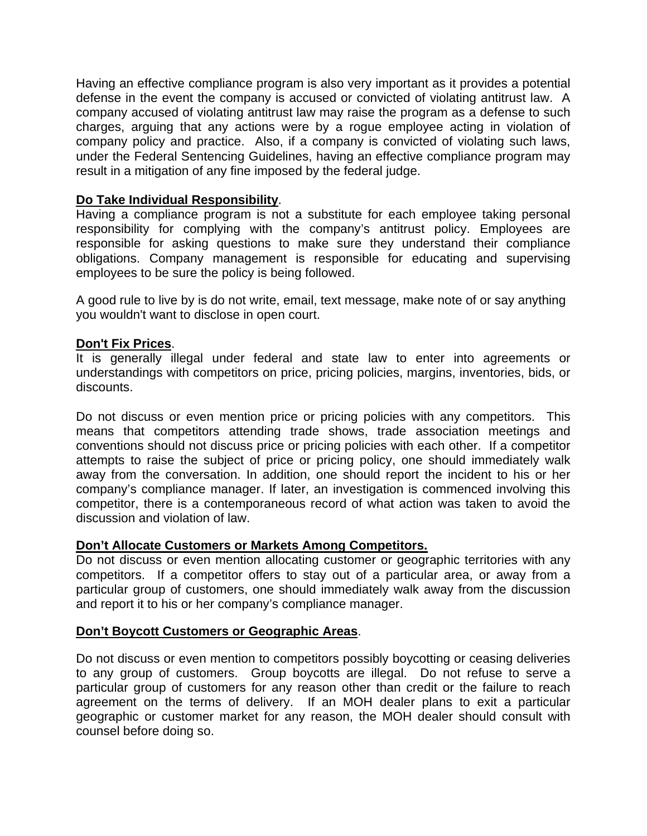Having an effective compliance program is also very important as it provides a potential defense in the event the company is accused or convicted of violating antitrust law. A company accused of violating antitrust law may raise the program as a defense to such charges, arguing that any actions were by a rogue employee acting in violation of company policy and practice. Also, if a company is convicted of violating such laws, under the Federal Sentencing Guidelines, having an effective compliance program may result in a mitigation of any fine imposed by the federal judge.

## **Do Take Individual Responsibility**.

Having a compliance program is not a substitute for each employee taking personal responsibility for complying with the company's antitrust policy. Employees are responsible for asking questions to make sure they understand their compliance obligations. Company management is responsible for educating and supervising employees to be sure the policy is being followed.

A good rule to live by is do not write, email, text message, make note of or say anything you wouldn't want to disclose in open court.

## **Don't Fix Prices**.

It is generally illegal under federal and state law to enter into agreements or understandings with competitors on price, pricing policies, margins, inventories, bids, or discounts.

Do not discuss or even mention price or pricing policies with any competitors. This means that competitors attending trade shows, trade association meetings and conventions should not discuss price or pricing policies with each other. If a competitor attempts to raise the subject of price or pricing policy, one should immediately walk away from the conversation. In addition, one should report the incident to his or her company's compliance manager. If later, an investigation is commenced involving this competitor, there is a contemporaneous record of what action was taken to avoid the discussion and violation of law.

## **Don't Allocate Customers or Markets Among Competitors.**

Do not discuss or even mention allocating customer or geographic territories with any competitors. If a competitor offers to stay out of a particular area, or away from a particular group of customers, one should immediately walk away from the discussion and report it to his or her company's compliance manager.

## **Don't Boycott Customers or Geographic Areas**.

Do not discuss or even mention to competitors possibly boycotting or ceasing deliveries to any group of customers. Group boycotts are illegal. Do not refuse to serve a particular group of customers for any reason other than credit or the failure to reach agreement on the terms of delivery. If an MOH dealer plans to exit a particular geographic or customer market for any reason, the MOH dealer should consult with counsel before doing so.